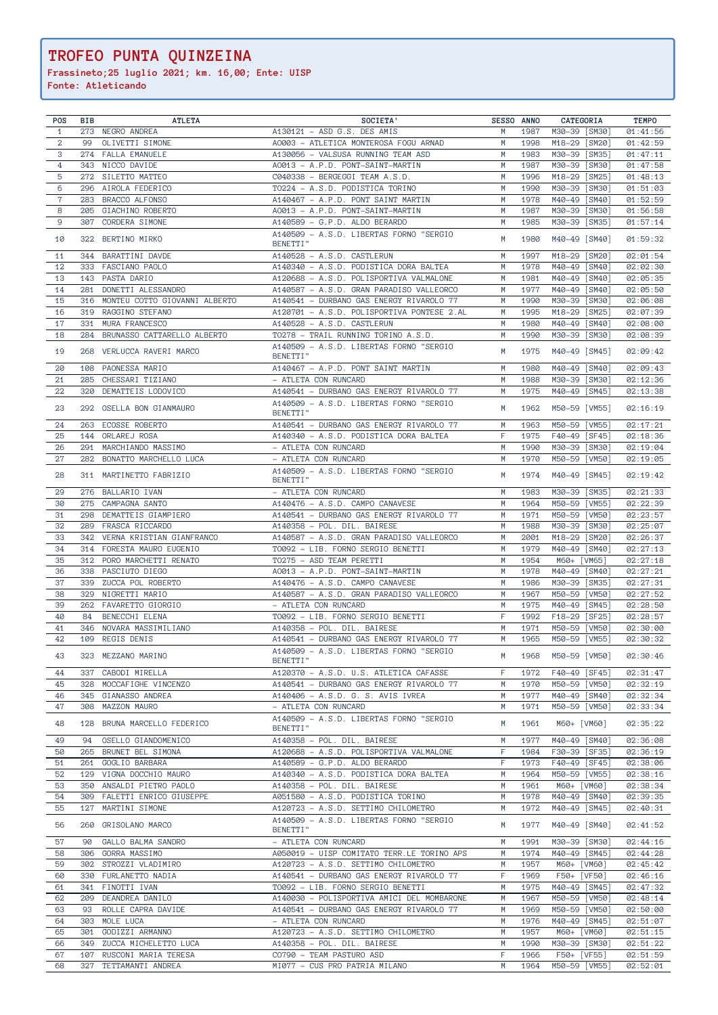## **TROFEO PUNTA QUINZEINA**

**Frassineto;25 luglio 2021; km. 16,00; Ente: UISP**

**Fonte: Atleticando**

| POS            | BIB | <b>ATLETA</b>                             | SOCIETA'                                                                            | SESSO ANNO |              | CATEGORIA                            | <b>TEMPO</b>         |
|----------------|-----|-------------------------------------------|-------------------------------------------------------------------------------------|------------|--------------|--------------------------------------|----------------------|
| $\mathbf{1}$   |     | 273 NEGRO ANDREA                          | A130121 - ASD G.S. DES AMIS                                                         | M          | 1987         | M30-39 [SM30]                        | 01:41:56             |
| $\mathbf{2}$   | 99  | OLIVETTI SIMONE                           | A0003 - ATLETICA MONTEROSA FOGU ARNAD                                               | M          | 1998         | M18-29 [SM20]                        | 01:42:59             |
| 3              |     | 274 FALLA EMANUELE                        | A130056 - VALSUSA RUNNING TEAM ASD                                                  | М          | 1983         | M30-39 [SM35]                        | 01:47:11             |
| $\overline{4}$ |     | 343 NICCO DAVIDE                          | A0013 - A.P.D. PONT-SAINT-MARTIN                                                    | М          | 1987         | M30-39 [SM30]                        | 01:47:58             |
| 5              |     | 272 SILETTO MATTEO                        | C040338 - BERGEGGI TEAM A.S.D.                                                      | M          | 1996         | M18-29<br>[SM25]                     | 01:48:13             |
| 6              | 296 | AIROLA FEDERICO                           | TO224 - A.S.D. PODISTICA TORINO                                                     | M          | 1990         | M30-39<br>[SM30]                     | 01:51:03             |
| $\overline{7}$ | 283 | BRACCO ALFONSO                            | A140467 - A.P.D. PONT SAINT MARTIN                                                  | M          | 1978         | M40-49<br>[SM40]                     | 01:52:59             |
| 8              | 205 | GIACHINO ROBERTO                          | A0013 - A.P.D. PONT-SAINT-MARTIN                                                    | М          | 1987         | M30-39<br>[SM30]                     | 01:56:58             |
| 9              | 307 | CORDERA SIMONE                            | A140589 - G.P.D. ALDO BERARDO                                                       | M          | 1985         | M30-39<br>[SM35]                     | 01:57:14             |
| 10             |     | 322 BERTINO MIRKO                         | A140509 - A.S.D. LIBERTAS FORNO "SERGIO<br>BENETTI"                                 | M          | 1980         | M40-49 [SM40]                        | 01:59:32             |
|                |     |                                           |                                                                                     |            |              |                                      |                      |
| 11             |     | 344 BARATTINI DAVDE                       | A140528 - A.S.D. CASTLERUN                                                          | M<br>M     | 1997         | M18-29 [SM20]                        | 02:01:54             |
| 12<br>13       |     | 333 FASCIANO PAOLO                        | A140340 - A.S.D. PODISTICA DORA BALTEA                                              | M          | 1978         | M40-49 [SM40]                        | 02:02:30             |
| 14             |     | 143 PASTA DARIO<br>281 DONETTI ALESSANDRO | A120688 - A.S.D. POLISPORTIVA VALMALONE<br>A140587 - A.S.D. GRAN PARADISO VALLEORCO | M          | 1981<br>1977 | M40-49<br>[SM40]<br>M40-49<br>[SM40] | 02:05:35<br>02:05:50 |
| 15             | 316 | MONTEU COTTO GIOVANNI ALBERTO             | A140541 - DURBANO GAS ENERGY RIVAROLO 77                                            | M          | 1990         | M30-39<br>[SM30]                     | 02:06:08             |
| 16             |     | 319 RAGGINO STEFANO                       | A120701 - A.S.D. POLISPORTIVA PONTESE 2.AL                                          | M          | 1995         | M18-29<br>[SM25]                     | 02:07:39             |
| 17             | 331 | MURA FRANCESCO                            | A140528 - A.S.D. CASTLERUN                                                          | M          | 1980         | M40-49 [SM40]                        | 02:08:00             |
| 18             | 284 | BRUNASSO CATTARELLO ALBERTO               | TO278 - TRAIL RUNNING TORINO A.S.D.                                                 | M          | 1990         | M30-39<br>[SM30]                     | 02:08:39             |
|                |     |                                           | A140509 - A.S.D. LIBERTAS FORNO "SERGIO                                             |            |              |                                      |                      |
| 19             |     | 268 VERLUCCA RAVERI MARCO                 | BENETTI"                                                                            | M          | 1975         | M40-49 [SM45]                        | 02:09:42             |
| 20             |     | 108 PAONESSA MARIO                        | A140467 - A.P.D. PONT SAINT MARTIN                                                  | М          | 1980         | M40-49<br>[SM40]                     | 02:09:43             |
| 21             |     | 285 CHESSARI TIZIANO                      | - ATLETA CON RUNCARD                                                                | M          | 1988         | M30-39<br>[SM30]                     | 02:12:36             |
| 22             |     | 320 DEMATTEIS LODOVICO                    | A140541 - DURBANO GAS ENERGY RIVAROLO 77                                            | M          | 1975         | M40-49<br>$\sqrt{\text{SM45}}$       | 02:13:38             |
|                |     |                                           | A140509 - A.S.D. LIBERTAS FORNO "SERGIO                                             |            |              |                                      |                      |
| 23             |     | 292 OSELLA BON GIANMAURO                  | BENETTI"                                                                            | M          | 1962         | M50-59 [VM55]                        | 02:16:19             |
| 24             |     | 263 ECOSSE ROBERTO                        | A140541 - DURBANO GAS ENERGY RIVAROLO 77                                            | M          | 1963         | M50-59 [VM55]                        | 02:17:21             |
| 25             |     | 144 ORLAREJ ROSA                          | A140340 - A.S.D. PODISTICA DORA BALTEA                                              | F          | 1975         | F40-49<br>[SF45]                     | 02:18:36             |
| 26             |     | 291 MARCHIANDO MASSIMO                    | - ATLETA CON RUNCARD                                                                | M          | 1990         | M30-39<br>[SM30]                     | 02:19:04             |
| 27             | 282 | BONATTO MARCHELLO LUCA                    | - ATLETA CON RUNCARD                                                                | M          | 1970         | M50-59<br>[VM50]                     | 02:19:05             |
|                |     |                                           | A140509 - A.S.D. LIBERTAS FORNO "SERGIO                                             |            |              |                                      |                      |
| 28             |     | 311 MARTINETTO FABRIZIO                   | BENETTI"                                                                            | M          | 1974         | M40-49 [SM45]                        | 02:19:42             |
| 29             | 276 | BALLARIO IVAN                             | - ATLETA CON RUNCARD                                                                | M          | 1983         | M30-39<br>[SM35]                     | 02:21:33             |
| 30             |     | 275 CAMPAGNA SANTO                        | A140476 - A.S.D. CAMPO CANAVESE                                                     | M          | 1964         | M50-59<br>[VM55]                     | 02:22:39             |
| 31             |     | 298 DEMATTEIS GIAMPIERO                   | A140541 - DURBANO GAS ENERGY RIVAROLO 77                                            | M          | 1971         | M50-59<br>[VM50]                     | 02:23:57             |
| 32             | 289 | FRASCA RICCARDO                           | A140358 - POL. DIL. BAIRESE                                                         | M          | 1988         | M30-39<br>[SM30]                     | 02:25:07             |
| 33             |     | 342 VERNA KRISTIAN GIANFRANCO             | A140587 - A.S.D. GRAN PARADISO VALLEORCO                                            | М          | 2001         | M18-29<br>[SM20]                     | 02:26:37             |
| 34             |     | 314 FORESTA MAURO EUGENIO                 | T0092 - LIB. FORNO SERGIO BENETTI                                                   | M          | 1979         | M40-49<br>[SM40]                     | 02:27:13             |
| 35             |     | 312 PORO MARCHETTI RENATO                 | TO275 - ASD TEAM PERETTI                                                            | М          | 1954         | M60+ [VM65]                          | 02:27:18             |
| 36             |     | 338 PASCIUTO DIEGO                        | A0013 - A.P.D. PONT-SAINT-MARTIN                                                    | M          | 1978         | M40-49<br>[SM40]                     | 02:27:21             |
| 37             | 339 | ZUCCA POL ROBERTO                         | A140476 - A.S.D. CAMPO CANAVESE                                                     | M          | 1986         | M30-39<br>[SM35]                     | 02:27:31             |
| 38             | 329 | NIGRETTI MARIO                            | A140587 - A.S.D. GRAN PARADISO VALLEORCO                                            | M          | 1967         | M50-59<br>[VM50]                     | 02:27:52             |
| 39             | 262 | FAVARETTO GIORGIO                         | - ATLETA CON RUNCARD                                                                | M          | 1975         | M40-49 [SM45]                        | 02:28:50             |
| 40             | 84  | BENECCHI ELENA                            | T0092 - LIB. FORNO SERGIO BENETTI                                                   | F          | 1992         | $F18 - 29$<br>[SF25]                 | 02:28:57             |
| 41             | 346 | NOVARA MASSIMILIANO                       | A140358 - POL. DIL. BAIRESE                                                         | M          | 1971         | M50-59<br>[VM50]                     | 02:30:00             |
| 42             |     | 109 REGIS DENIS                           | A140541 - DURBANO GAS ENERGY RIVAROLO 77                                            | M          | 1965         | M50-59<br>[VM55]                     | 02:30:32             |
| 43             |     | 323 MEZZANO MARINO                        | A140509 - A.S.D. LIBERTAS FORNO "SERGIO                                             | M          | 1968         | M50-59 [VM50]                        | 02:30:46             |
|                |     |                                           | BENETTI"                                                                            |            |              |                                      |                      |
| 44             | 337 | CABODI MIRELLA                            | A120370 - A.S.D. U.S. ATLETICA CAFASSE                                              | F          | 1972         | F40-49 [SF45]                        | 02:31:47             |
| 45             | 328 | MOCCAFIGHE VINCENZO                       | A140541 - DURBANO GAS ENERGY RIVAROLO 77                                            | M          | 1970         | M50-59 [VM50]                        | 02:32:19             |
| 46             | 345 | GIANASSO ANDREA                           | A140406 - A.S.D. G. S. AVIS IVREA                                                   | M          | 1977         | M40-49<br>[SM40]                     | 02:32:34             |
| 47             | 308 | MAZZON MAURO                              | - ATLETA CON RUNCARD                                                                | М          | 1971         | M50-59 [VM50]                        | 02:33:34             |
| 48             | 128 | BRUNA MARCELLO FEDERICO                   | A140509 - A.S.D. LIBERTAS FORNO "SERGIO                                             | М          | 1961         | M60+ [VM60]                          | 02:35:22             |
|                |     |                                           | BENETTI"                                                                            |            |              |                                      |                      |
| 49             | 94  | OSELLO GIANDOMENICO                       | A140358 - POL. DIL. BAIRESE                                                         | М          | 1977         | M40-49 [SM40]                        | 02:36:08             |
| 50             |     | 265 BRUNET BEL SIMONA                     | A120688 - A.S.D. POLISPORTIVA VALMALONE                                             | F          | 1984         | F30-39 [SF35]                        | 02:36:19             |
| 51             |     | 261 GOGLIO BARBARA                        | A140589 - G.P.D. ALDO BERARDO                                                       | F          | 1973         | F40-49 [SF45]                        | 02:38:06             |
| 52             | 129 | VIGNA DOCCHIO MAURO                       | A140340 - A.S.D. PODISTICA DORA BALTEA                                              | М          | 1964         | M50-59 [VM55]                        | 02:38:16             |
| 53             | 350 | ANSALDI PIETRO PAOLO                      | A140358 - POL. DIL. BAIRESE                                                         | M          | 1961         | M60+ [VM60]                          | 02:38:34             |
| 54             |     | 309 FALETTI ENRICO GIUSEPPE               | A051580 - A.S.D. PODISTICA TORINO                                                   | M          | 1978         | M40-49 [SM40]                        | 02:39:35             |
| 55             | 127 | MARTINI SIMONE                            | A120723 - A.S.D. SETTIMO CHILOMETRO                                                 | М          | 1972         | M40-49 [SM45]                        | 02:40:31             |
| 56             | 260 | GRISOLANO MARCO                           | A140509 - A.S.D. LIBERTAS FORNO "SERGIO<br>BENETTI"                                 | М          | 1977         | M40-49 [SM40]                        | 02:41:52             |
|                |     |                                           |                                                                                     |            |              |                                      |                      |
| 57             | 90  | GALLO BALMA SANDRO                        | - ATLETA CON RUNCARD                                                                | M<br>М     | 1991<br>1974 | M30-39 [SM30]                        | 02:44:16             |
| 58<br>59       | 302 | 306 GORRA MASSIMO<br>STROZZI VLADIMIRO    | A050019 - UISP COMITATO TERR.LE TORINO APS<br>A120723 - A.S.D. SETTIMO CHILOMETRO   | М          | 1957         | M40-49 [SM45]<br>M60+ [VM60]         | 02:44:28<br>02:45:42 |
| 60             | 330 | FURLANETTO NADIA                          | A140541 - DURBANO GAS ENERGY RIVAROLO 77                                            | F          | 1969         | F50+ [VF50]                          | 02:46:16             |
| 61             | 341 | FINOTTI IVAN                              | T0092 - LIB. FORNO SERGIO BENETTI                                                   | М          | 1975         | M40-49 [SM45]                        | 02:47:32             |
| 62             | 209 | DEANDREA DANILO                           | A140030 - POLISPORTIVA AMICI DEL MOMBARONE                                          | М          | 1967         | M50-59 [VM50]                        | 02:48:14             |
| 63             | 93  | ROLLE CAPRA DAVIDE                        | A140541 - DURBANO GAS ENERGY RIVAROLO 77                                            | М          | 1969         | M50-59<br>[VM50]                     | 02:50:00             |
| 64             | 303 | MOLE LUCA                                 | - ATLETA CON RUNCARD                                                                | М          | 1976         | M40-49<br>[SM45]                     | 02:51:07             |
| 65             | 301 | GODIZZI ARMANNO                           | A120723 - A.S.D. SETTIMO CHILOMETRO                                                 | М          | 1957         | M60+<br>[VM60]                       | 02:51:15             |
| 66             |     | 349 ZUCCA MICHELETTO LUCA                 | A140358 - POL. DIL. BAIRESE                                                         | М          | 1990         | M30-39 [SM30]                        | 02:51:22             |
| 67             |     | 107 RUSCONI MARIA TERESA                  | CO790 - TEAM PASTURO ASD                                                            | F          | 1966         | F50+ [VF55]                          | 02:51:59             |
| 68             |     | 327 TETTAMANTI ANDREA                     | MI077 - CUS PRO PATRIA MILANO                                                       | M          | 1964         | M50-59 [VM55]                        | 02:52:01             |